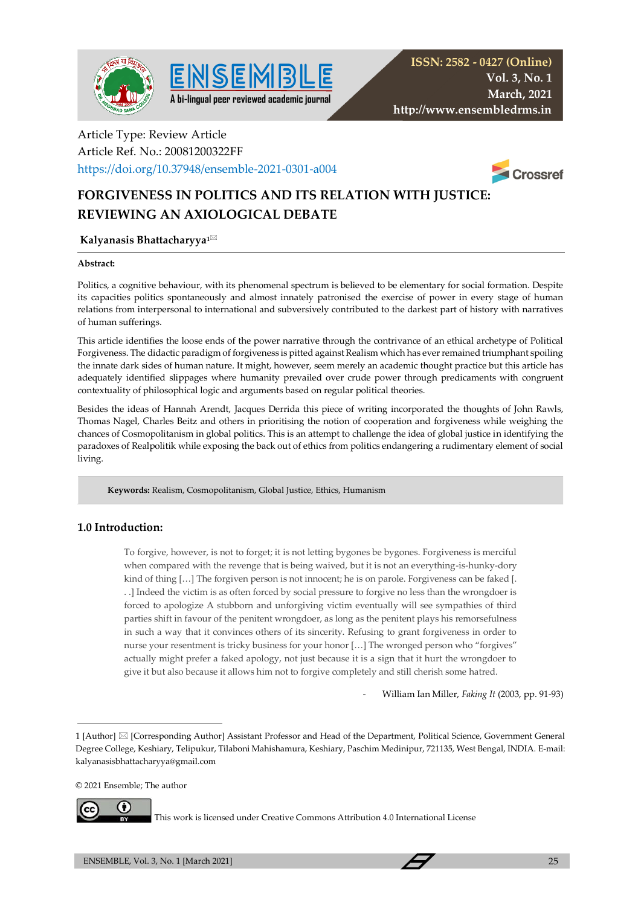



# Article Type: Review Article Article Ref. No.: 20081200322FF

https://doi.org/10.37948/ensemble-2021-0301-a004



# **FORGIVENESS IN POLITICS AND ITS RELATION WITH JUSTICE: REVIEWING AN AXIOLOGICAL DEBATE**

### **Kalyanasis Bhattacharyya1**

#### **Abstract:**

Politics, a cognitive behaviour, with its phenomenal spectrum is believed to be elementary for social formation. Despite its capacities politics spontaneously and almost innately patronised the exercise of power in every stage of human relations from interpersonal to international and subversively contributed to the darkest part of history with narratives of human sufferings.

This article identifies the loose ends of the power narrative through the contrivance of an ethical archetype of Political Forgiveness. The didactic paradigm of forgiveness is pitted against Realism which has ever remained triumphant spoiling the innate dark sides of human nature. It might, however, seem merely an academic thought practice but this article has adequately identified slippages where humanity prevailed over crude power through predicaments with congruent contextuality of philosophical logic and arguments based on regular political theories.

Besides the ideas of Hannah Arendt, Jacques Derrida this piece of writing incorporated the thoughts of John Rawls, Thomas Nagel, Charles Beitz and others in prioritising the notion of cooperation and forgiveness while weighing the chances of Cosmopolitanism in global politics. This is an attempt to challenge the idea of global justice in identifying the paradoxes of Realpolitik while exposing the back out of ethics from politics endangering a rudimentary element of social living.

 **Keywords:** Realism, Cosmopolitanism, Global Justice, Ethics, Humanism

## **1.0 Introduction:**

To forgive, however, is not to forget; it is not letting bygones be bygones. Forgiveness is merciful when compared with the revenge that is being waived, but it is not an everything-is-hunky-dory kind of thing [...] The forgiven person is not innocent; he is on parole. Forgiveness can be faked [. . .] Indeed the victim is as often forced by social pressure to forgive no less than the wrongdoer is forced to apologize A stubborn and unforgiving victim eventually will see sympathies of third parties shift in favour of the penitent wrongdoer, as long as the penitent plays his remorsefulness in such a way that it convinces others of its sincerity. Refusing to grant forgiveness in order to nurse your resentment is tricky business for your honor […] The wronged person who "forgives" actually might prefer a faked apology, not just because it is a sign that it hurt the wrongdoer to give it but also because it allows him not to forgive completely and still cherish some hatred.

- William Ian Miller, *Faking It* (2003, pp. 91-93)

© 2021 Ensemble; The author



This work is licensed under Creative Commons Attribution 4.0 International License

<sup>1 [</sup>Author]  $\boxtimes$  [Corresponding Author] Assistant Professor and Head of the Department, Political Science, Government General Degree College, Keshiary, Telipukur, Tilaboni Mahishamura, Keshiary, Paschim Medinipur, 721135, West Bengal, INDIA. E-mail: kalyanasisbhattacharyya@gmail.com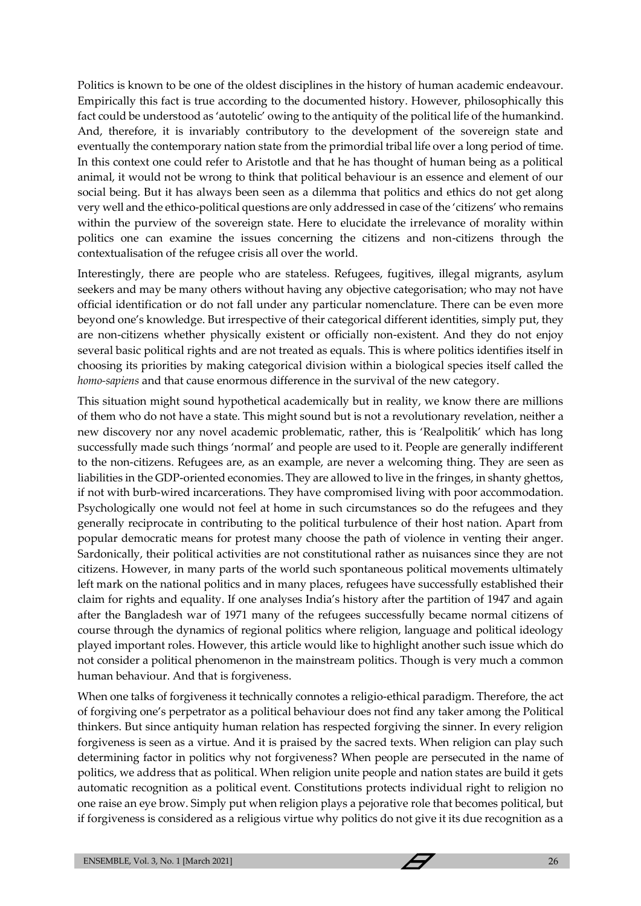Politics is known to be one of the oldest disciplines in the history of human academic endeavour. Empirically this fact is true according to the documented history. However, philosophically this fact could be understood as 'autotelic' owing to the antiquity of the political life of the humankind. And, therefore, it is invariably contributory to the development of the sovereign state and eventually the contemporary nation state from the primordial tribal life over a long period of time. In this context one could refer to Aristotle and that he has thought of human being as a political animal, it would not be wrong to think that political behaviour is an essence and element of our social being. But it has always been seen as a dilemma that politics and ethics do not get along very well and the ethico-political questions are only addressed in case of the 'citizens' who remains within the purview of the sovereign state. Here to elucidate the irrelevance of morality within politics one can examine the issues concerning the citizens and non-citizens through the contextualisation of the refugee crisis all over the world.

Interestingly, there are people who are stateless. Refugees, fugitives, illegal migrants, asylum seekers and may be many others without having any objective categorisation; who may not have official identification or do not fall under any particular nomenclature. There can be even more beyond one's knowledge. But irrespective of their categorical different identities, simply put, they are non-citizens whether physically existent or officially non-existent. And they do not enjoy several basic political rights and are not treated as equals. This is where politics identifies itself in choosing its priorities by making categorical division within a biological species itself called the *homo-sapiens* and that cause enormous difference in the survival of the new category.

This situation might sound hypothetical academically but in reality, we know there are millions of them who do not have a state. This might sound but is not a revolutionary revelation, neither a new discovery nor any novel academic problematic, rather, this is 'Realpolitik' which has long successfully made such things 'normal' and people are used to it. People are generally indifferent to the non-citizens. Refugees are, as an example, are never a welcoming thing. They are seen as liabilities in the GDP-oriented economies. They are allowed to live in the fringes, in shanty ghettos, if not with burb-wired incarcerations. They have compromised living with poor accommodation. Psychologically one would not feel at home in such circumstances so do the refugees and they generally reciprocate in contributing to the political turbulence of their host nation. Apart from popular democratic means for protest many choose the path of violence in venting their anger. Sardonically, their political activities are not constitutional rather as nuisances since they are not citizens. However, in many parts of the world such spontaneous political movements ultimately left mark on the national politics and in many places, refugees have successfully established their claim for rights and equality. If one analyses India's history after the partition of 1947 and again after the Bangladesh war of 1971 many of the refugees successfully became normal citizens of course through the dynamics of regional politics where religion, language and political ideology played important roles. However, this article would like to highlight another such issue which do not consider a political phenomenon in the mainstream politics. Though is very much a common human behaviour. And that is forgiveness.

When one talks of forgiveness it technically connotes a religio-ethical paradigm. Therefore, the act of forgiving one's perpetrator as a political behaviour does not find any taker among the Political thinkers. But since antiquity human relation has respected forgiving the sinner. In every religion forgiveness is seen as a virtue. And it is praised by the sacred texts. When religion can play such determining factor in politics why not forgiveness? When people are persecuted in the name of politics, we address that as political. When religion unite people and nation states are build it gets automatic recognition as a political event. Constitutions protects individual right to religion no one raise an eye brow. Simply put when religion plays a pejorative role that becomes political, but if forgiveness is considered as a religious virtue why politics do not give it its due recognition as a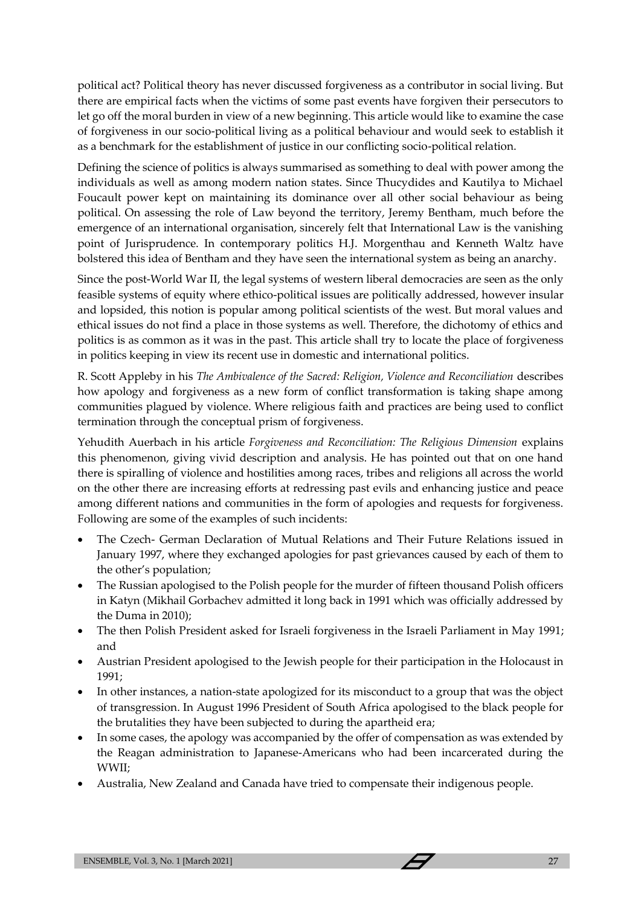political act? Political theory has never discussed forgiveness as a contributor in social living. But there are empirical facts when the victims of some past events have forgiven their persecutors to let go off the moral burden in view of a new beginning. This article would like to examine the case of forgiveness in our socio-political living as a political behaviour and would seek to establish it as a benchmark for the establishment of justice in our conflicting socio-political relation.

Defining the science of politics is always summarised as something to deal with power among the individuals as well as among modern nation states. Since Thucydides and Kautilya to Michael Foucault power kept on maintaining its dominance over all other social behaviour as being political. On assessing the role of Law beyond the territory, Jeremy Bentham, much before the emergence of an international organisation, sincerely felt that International Law is the vanishing point of Jurisprudence. In contemporary politics H.J. Morgenthau and Kenneth Waltz have bolstered this idea of Bentham and they have seen the international system as being an anarchy.

Since the post-World War II, the legal systems of western liberal democracies are seen as the only feasible systems of equity where ethico-political issues are politically addressed, however insular and lopsided, this notion is popular among political scientists of the west. But moral values and ethical issues do not find a place in those systems as well. Therefore, the dichotomy of ethics and politics is as common as it was in the past. This article shall try to locate the place of forgiveness in politics keeping in view its recent use in domestic and international politics.

R. Scott Appleby in his *The Ambivalence of the Sacred: Religion, Violence and Reconciliation* describes how apology and forgiveness as a new form of conflict transformation is taking shape among communities plagued by violence. Where religious faith and practices are being used to conflict termination through the conceptual prism of forgiveness.

Yehudith Auerbach in his article *Forgiveness and Reconciliation: The Religious Dimension* explains this phenomenon, giving vivid description and analysis. He has pointed out that on one hand there is spiralling of violence and hostilities among races, tribes and religions all across the world on the other there are increasing efforts at redressing past evils and enhancing justice and peace among different nations and communities in the form of apologies and requests for forgiveness. Following are some of the examples of such incidents:

- The Czech- German Declaration of Mutual Relations and Their Future Relations issued in January 1997, where they exchanged apologies for past grievances caused by each of them to the other's population;
- The Russian apologised to the Polish people for the murder of fifteen thousand Polish officers in Katyn (Mikhail Gorbachev admitted it long back in 1991 which was officially addressed by the Duma in 2010);
- The then Polish President asked for Israeli forgiveness in the Israeli Parliament in May 1991; and
- Austrian President apologised to the Jewish people for their participation in the Holocaust in 1991;
- In other instances, a nation-state apologized for its misconduct to a group that was the object of transgression. In August 1996 President of South Africa apologised to the black people for the brutalities they have been subjected to during the apartheid era;
- In some cases, the apology was accompanied by the offer of compensation as was extended by the Reagan administration to Japanese-Americans who had been incarcerated during the WWII;
- Australia, New Zealand and Canada have tried to compensate their indigenous people.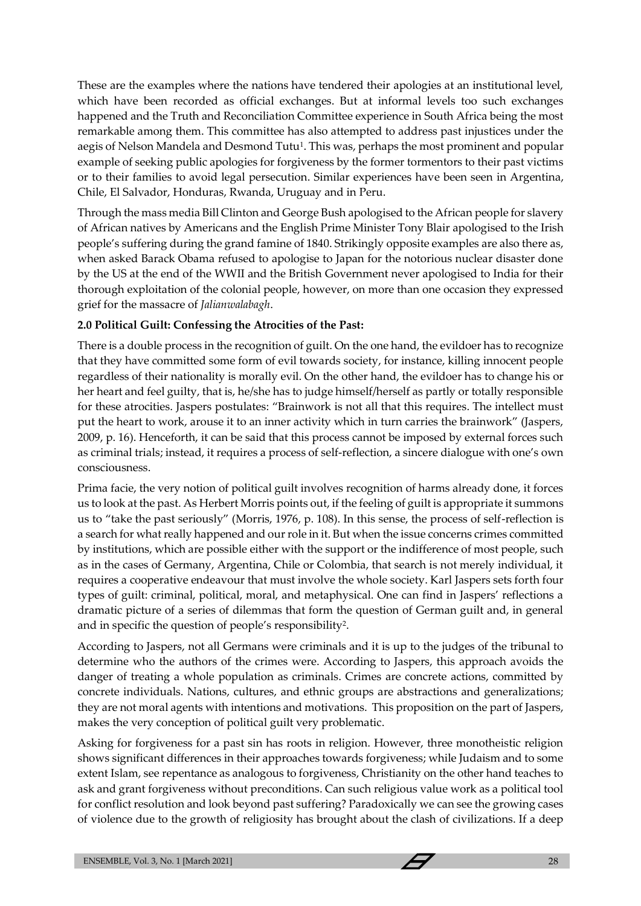These are the examples where the nations have tendered their apologies at an institutional level, which have been recorded as official exchanges. But at informal levels too such exchanges happened and the Truth and Reconciliation Committee experience in South Africa being the most remarkable among them. This committee has also attempted to address past injustices under the aegis of Nelson Mandela and Desmond Tutu<sup>1</sup>. This was, perhaps the most prominent and popular example of seeking public apologies for forgiveness by the former tormentors to their past victims or to their families to avoid legal persecution. Similar experiences have been seen in Argentina, Chile, El Salvador, Honduras, Rwanda, Uruguay and in Peru.

Through the mass media Bill Clinton and George Bush apologised to the African people for slavery of African natives by Americans and the English Prime Minister Tony Blair apologised to the Irish people's suffering during the grand famine of 1840. Strikingly opposite examples are also there as, when asked Barack Obama refused to apologise to Japan for the notorious nuclear disaster done by the US at the end of the WWII and the British Government never apologised to India for their thorough exploitation of the colonial people, however, on more than one occasion they expressed grief for the massacre of *Jalianwalabagh*.

## **2.0 Political Guilt: Confessing the Atrocities of the Past:**

There is a double process in the recognition of guilt. On the one hand, the evildoer has to recognize that they have committed some form of evil towards society, for instance, killing innocent people regardless of their nationality is morally evil. On the other hand, the evildoer has to change his or her heart and feel guilty, that is, he/she has to judge himself/herself as partly or totally responsible for these atrocities. Jaspers postulates: "Brainwork is not all that this requires. The intellect must put the heart to work, arouse it to an inner activity which in turn carries the brainwork" (Jaspers, 2009, p. 16). Henceforth, it can be said that this process cannot be imposed by external forces such as criminal trials; instead, it requires a process of self-reflection, a sincere dialogue with one's own consciousness.

Prima facie, the very notion of political guilt involves recognition of harms already done, it forces us to look at the past. As Herbert Morris points out, if the feeling of guilt is appropriate it summons us to "take the past seriously" (Morris, 1976, p. 108). In this sense, the process of self-reflection is a search for what really happened and our role in it. But when the issue concerns crimes committed by institutions, which are possible either with the support or the indifference of most people, such as in the cases of Germany, Argentina, Chile or Colombia, that search is not merely individual, it requires a cooperative endeavour that must involve the whole society. Karl Jaspers sets forth four types of guilt: criminal, political, moral, and metaphysical. One can find in Jaspers' reflections a dramatic picture of a series of dilemmas that form the question of German guilt and, in general and in specific the question of people's responsibility<sup>2</sup> .

According to Jaspers, not all Germans were criminals and it is up to the judges of the tribunal to determine who the authors of the crimes were. According to Jaspers, this approach avoids the danger of treating a whole population as criminals. Crimes are concrete actions, committed by concrete individuals. Nations, cultures, and ethnic groups are abstractions and generalizations; they are not moral agents with intentions and motivations. This proposition on the part of Jaspers, makes the very conception of political guilt very problematic.

Asking for forgiveness for a past sin has roots in religion. However, three monotheistic religion shows significant differences in their approaches towards forgiveness; while Judaism and to some extent Islam, see repentance as analogous to forgiveness, Christianity on the other hand teaches to ask and grant forgiveness without preconditions. Can such religious value work as a political tool for conflict resolution and look beyond past suffering? Paradoxically we can see the growing cases of violence due to the growth of religiosity has brought about the clash of civilizations. If a deep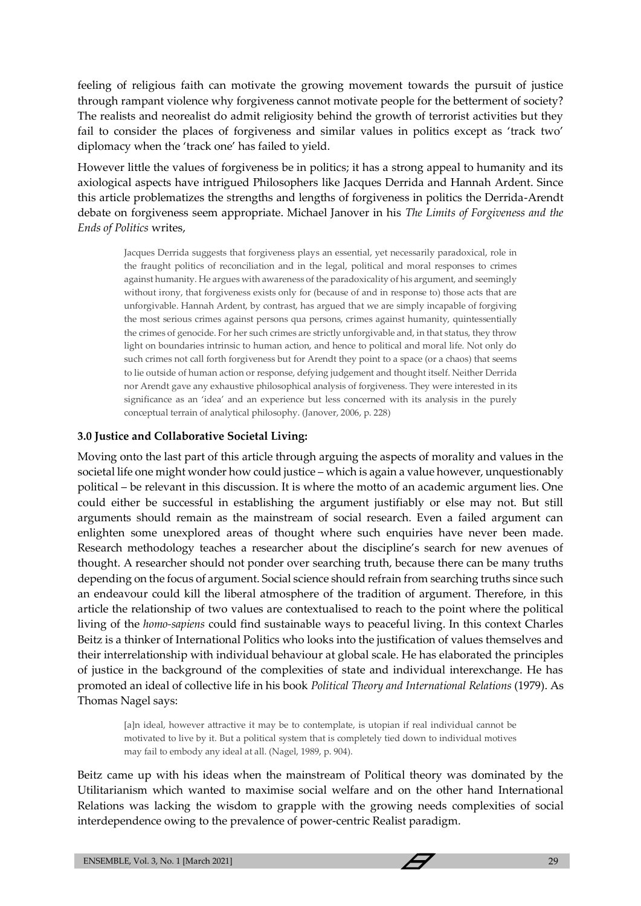feeling of religious faith can motivate the growing movement towards the pursuit of justice through rampant violence why forgiveness cannot motivate people for the betterment of society? The realists and neorealist do admit religiosity behind the growth of terrorist activities but they fail to consider the places of forgiveness and similar values in politics except as 'track two' diplomacy when the 'track one' has failed to yield.

However little the values of forgiveness be in politics; it has a strong appeal to humanity and its axiological aspects have intrigued Philosophers like Jacques Derrida and Hannah Ardent. Since this article problematizes the strengths and lengths of forgiveness in politics the Derrida-Arendt debate on forgiveness seem appropriate. Michael Janover in his *The Limits of Forgiveness and the Ends of Politics* writes,

Jacques Derrida suggests that forgiveness plays an essential, yet necessarily paradoxical, role in the fraught politics of reconciliation and in the legal, political and moral responses to crimes against humanity. He argues with awareness of the paradoxicality of his argument, and seemingly without irony, that forgiveness exists only for (because of and in response to) those acts that are unforgivable. Hannah Ardent, by contrast, has argued that we are simply incapable of forgiving the most serious crimes against persons qua persons, crimes against humanity, quintessentially the crimes of genocide. For her such crimes are strictly unforgivable and, in that status, they throw light on boundaries intrinsic to human action, and hence to political and moral life. Not only do such crimes not call forth forgiveness but for Arendt they point to a space (or a chaos) that seems to lie outside of human action or response, defying judgement and thought itself. Neither Derrida nor Arendt gave any exhaustive philosophical analysis of forgiveness. They were interested in its significance as an 'idea' and an experience but less concerned with its analysis in the purely conceptual terrain of analytical philosophy. (Janover, 2006, p. 228)

#### **3.0 Justice and Collaborative Societal Living:**

Moving onto the last part of this article through arguing the aspects of morality and values in the societal life one might wonder how could justice – which is again a value however, unquestionably political – be relevant in this discussion. It is where the motto of an academic argument lies. One could either be successful in establishing the argument justifiably or else may not. But still arguments should remain as the mainstream of social research. Even a failed argument can enlighten some unexplored areas of thought where such enquiries have never been made. Research methodology teaches a researcher about the discipline's search for new avenues of thought. A researcher should not ponder over searching truth, because there can be many truths depending on the focus of argument. Social science should refrain from searching truths since such an endeavour could kill the liberal atmosphere of the tradition of argument. Therefore, in this article the relationship of two values are contextualised to reach to the point where the political living of the *homo-sapiens* could find sustainable ways to peaceful living. In this context Charles Beitz is a thinker of International Politics who looks into the justification of values themselves and their interrelationship with individual behaviour at global scale. He has elaborated the principles of justice in the background of the complexities of state and individual interexchange. He has promoted an ideal of collective life in his book *Political Theory and International Relations* (1979). As Thomas Nagel says:

[a]n ideal, however attractive it may be to contemplate, is utopian if real individual cannot be motivated to live by it. But a political system that is completely tied down to individual motives may fail to embody any ideal at all. (Nagel, 1989, p. 904).

Beitz came up with his ideas when the mainstream of Political theory was dominated by the Utilitarianism which wanted to maximise social welfare and on the other hand International Relations was lacking the wisdom to grapple with the growing needs complexities of social interdependence owing to the prevalence of power-centric Realist paradigm.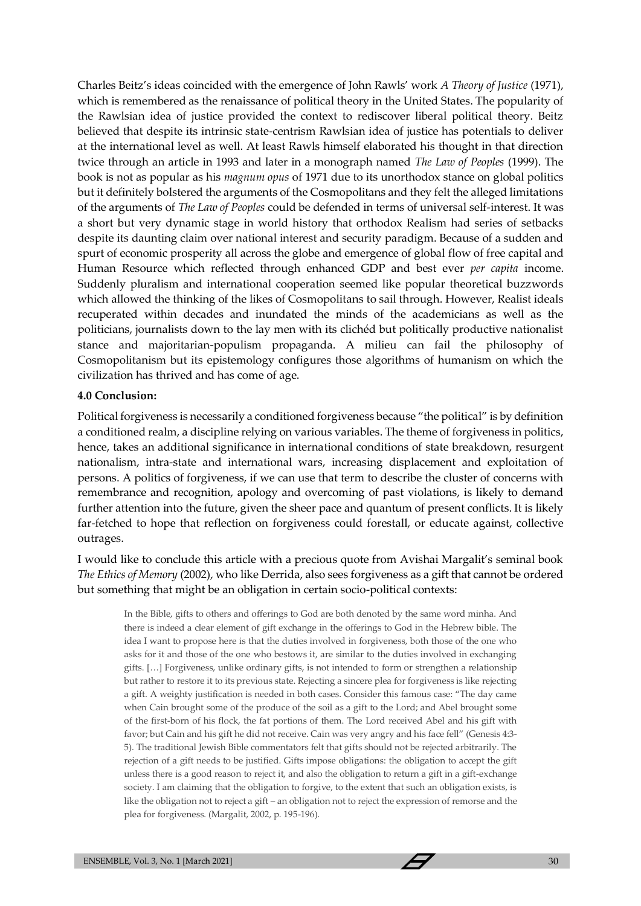Charles Beitz's ideas coincided with the emergence of John Rawls' work *A Theory of Justice* (1971), which is remembered as the renaissance of political theory in the United States. The popularity of the Rawlsian idea of justice provided the context to rediscover liberal political theory. Beitz believed that despite its intrinsic state-centrism Rawlsian idea of justice has potentials to deliver at the international level as well. At least Rawls himself elaborated his thought in that direction twice through an article in 1993 and later in a monograph named *The Law of Peoples* (1999). The book is not as popular as his *magnum opus* of 1971 due to its unorthodox stance on global politics but it definitely bolstered the arguments of the Cosmopolitans and they felt the alleged limitations of the arguments of *The Law of Peoples* could be defended in terms of universal self-interest. It was a short but very dynamic stage in world history that orthodox Realism had series of setbacks despite its daunting claim over national interest and security paradigm. Because of a sudden and spurt of economic prosperity all across the globe and emergence of global flow of free capital and Human Resource which reflected through enhanced GDP and best ever *per capita* income. Suddenly pluralism and international cooperation seemed like popular theoretical buzzwords which allowed the thinking of the likes of Cosmopolitans to sail through. However, Realist ideals recuperated within decades and inundated the minds of the academicians as well as the politicians, journalists down to the lay men with its clichéd but politically productive nationalist stance and majoritarian-populism propaganda. A milieu can fail the philosophy of Cosmopolitanism but its epistemology configures those algorithms of humanism on which the civilization has thrived and has come of age.

### **4.0 Conclusion:**

Political forgiveness is necessarily a conditioned forgiveness because "the political" is by definition a conditioned realm, a discipline relying on various variables. The theme of forgiveness in politics, hence, takes an additional significance in international conditions of state breakdown, resurgent nationalism, intra-state and international wars, increasing displacement and exploitation of persons. A politics of forgiveness, if we can use that term to describe the cluster of concerns with remembrance and recognition, apology and overcoming of past violations, is likely to demand further attention into the future, given the sheer pace and quantum of present conflicts. It is likely far-fetched to hope that reflection on forgiveness could forestall, or educate against, collective outrages.

I would like to conclude this article with a precious quote from Avishai Margalit's seminal book *The Ethics of Memory* (2002), who like Derrida, also sees forgiveness as a gift that cannot be ordered but something that might be an obligation in certain socio-political contexts:

In the Bible, gifts to others and offerings to God are both denoted by the same word minha. And there is indeed a clear element of gift exchange in the offerings to God in the Hebrew bible. The idea I want to propose here is that the duties involved in forgiveness, both those of the one who asks for it and those of the one who bestows it, are similar to the duties involved in exchanging gifts. […] Forgiveness, unlike ordinary gifts, is not intended to form or strengthen a relationship but rather to restore it to its previous state. Rejecting a sincere plea for forgiveness is like rejecting a gift. A weighty justification is needed in both cases. Consider this famous case: "The day came when Cain brought some of the produce of the soil as a gift to the Lord; and Abel brought some of the first-born of his flock, the fat portions of them. The Lord received Abel and his gift with favor; but Cain and his gift he did not receive. Cain was very angry and his face fell" (Genesis 4:3- 5). The traditional Jewish Bible commentators felt that gifts should not be rejected arbitrarily. The rejection of a gift needs to be justified. Gifts impose obligations: the obligation to accept the gift unless there is a good reason to reject it, and also the obligation to return a gift in a gift-exchange society. I am claiming that the obligation to forgive, to the extent that such an obligation exists, is like the obligation not to reject a gift – an obligation not to reject the expression of remorse and the plea for forgiveness. (Margalit, 2002, p. 195-196).